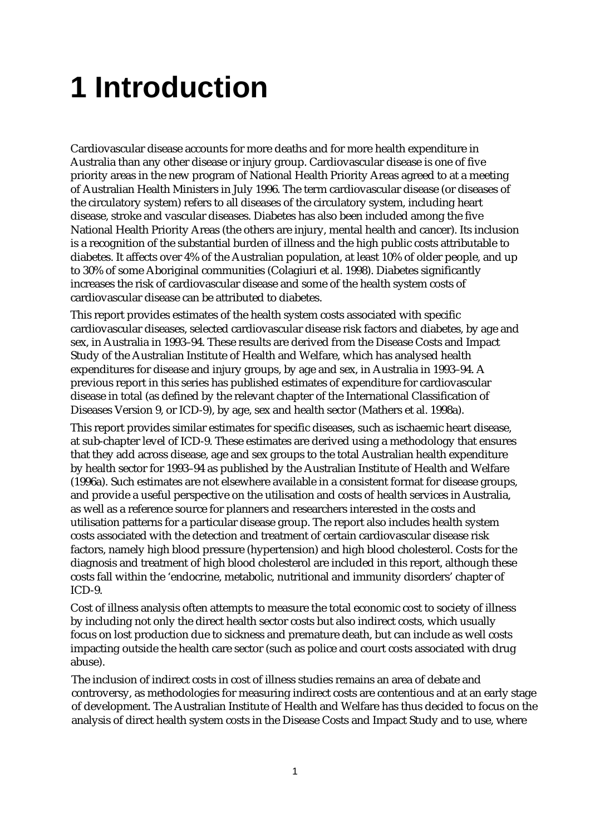## **1 Introduction**

Cardiovascular disease accounts for more deaths and for more health expenditure in Australia than any other disease or injury group. Cardiovascular disease is one of five priority areas in the new program of National Health Priority Areas agreed to at a meeting of Australian Health Ministers in July 1996. The term cardiovascular disease (or diseases of the circulatory system) refers to all diseases of the circulatory system, including heart disease, stroke and vascular diseases. Diabetes has also been included among the five National Health Priority Areas (the others are injury, mental health and cancer). Its inclusion is a recognition of the substantial burden of illness and the high public costs attributable to diabetes. It affects over 4% of the Australian population, at least 10% of older people, and up to 30% of some Aboriginal communities (Colagiuri et al. 1998). Diabetes significantly increases the risk of cardiovascular disease and some of the health system costs of cardiovascular disease can be attributed to diabetes.

This report provides estimates of the health system costs associated with specific cardiovascular diseases, selected cardiovascular disease risk factors and diabetes, by age and sex, in Australia in 1993–94. These results are derived from the Disease Costs and Impact Study of the Australian Institute of Health and Welfare, which has analysed health expenditures for disease and injury groups, by age and sex, in Australia in 1993–94. A previous report in this series has published estimates of expenditure for cardiovascular disease in total (as defined by the relevant chapter of the International Classification of Diseases Version 9, or ICD-9), by age, sex and health sector (Mathers et al. 1998a).

This report provides similar estimates for specific diseases, such as ischaemic heart disease, at sub-chapter level of ICD-9. These estimates are derived using a methodology that ensures that they add across disease, age and sex groups to the total Australian health expenditure by health sector for 1993–94 as published by the Australian Institute of Health and Welfare (1996a). Such estimates are not elsewhere available in a consistent format for disease groups, and provide a useful perspective on the utilisation and costs of health services in Australia, as well as a reference source for planners and researchers interested in the costs and utilisation patterns for a particular disease group. The report also includes health system costs associated with the detection and treatment of certain cardiovascular disease risk factors, namely high blood pressure (hypertension) and high blood cholesterol. Costs for the diagnosis and treatment of high blood cholesterol are included in this report, although these costs fall within the 'endocrine, metabolic, nutritional and immunity disorders' chapter of ICD-9.

Cost of illness analysis often attempts to measure the total economic cost to society of illness by including not only the direct health sector costs but also indirect costs, which usually focus on lost production due to sickness and premature death, but can include as well costs impacting outside the health care sector (such as police and court costs associated with drug abuse).

The inclusion of indirect costs in cost of illness studies remains an area of debate and controversy, as methodologies for measuring indirect costs are contentious and at an early stage of development. The Australian Institute of Health and Welfare has thus decided to focus on the analysis of direct health system costs in the Disease Costs and Impact Study and to use, where